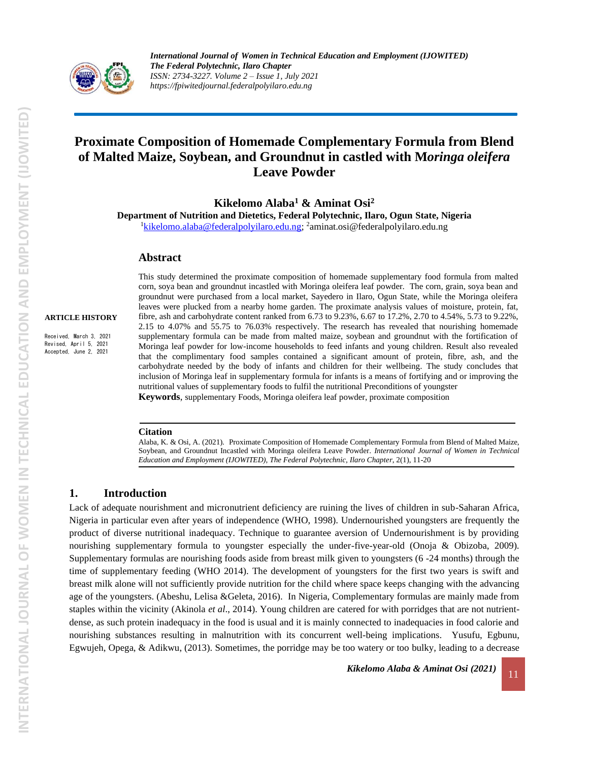

# **Proximate Composition of Homemade Complementary Formula from Blend of Malted Maize, Soybean, and Groundnut in castled with M***oringa oleifera* **Leave Powder**

**Kikelomo Alaba<sup>1</sup> & Aminat Osi<sup>2</sup>**

**Department of Nutrition and Dietetics, Federal Polytechnic, Ilaro, Ogun State, Nigeria** <sup>1</sup>[kikelomo.alaba@federalpolyilaro.edu.ng;](mailto:kikelomo.alaba@federalpolyilaro.edu.ng) <sup>2</sup>aminat.osi@federalpolyilaro.edu.ng

#### **Abstract**

#### **ARTICLE HISTORY**

Received, March 3, 2021 Revised, April 5, 2021 Accepted, June 2, 2021

This study determined the proximate composition of homemade supplementary food formula from malted corn, soya bean and groundnut incastled with Moringa oleifera leaf powder. The corn, grain, soya bean and groundnut were purchased from a local market, Sayedero in Ilaro, Ogun State, while the Moringa oleifera leaves were plucked from a nearby home garden. The proximate analysis values of moisture, protein, fat, fibre, ash and carbohydrate content ranked from 6.73 to 9.23%, 6.67 to 17.2%, 2.70 to 4.54%, 5.73 to 9.22%, 2.15 to 4.07% and 55.75 to 76.03% respectively. The research has revealed that nourishing homemade supplementary formula can be made from malted maize, soybean and groundnut with the fortification of Moringa leaf powder for low-income households to feed infants and young children. Result also revealed that the complimentary food samples contained a significant amount of protein, fibre, ash, and the carbohydrate needed by the body of infants and children for their wellbeing. The study concludes that inclusion of Moringa leaf in supplementary formula for infants is a means of fortifying and or improving the nutritional values of supplementary foods to fulfil the nutritional Preconditions of youngster **Keywords**, supplementary Foods, Moringa oleifera leaf powder, proximate composition

#### **Citation**

Alaba, K. & Osi, A. (2021). Proximate Composition of Homemade Complementary Formula from Blend of Malted Maize, Soybean, and Groundnut Incastled with Moringa oleifera Leave Powder. *International Journal of Women in Technical Education and Employment (IJOWITED), The Federal Polytechnic, Ilaro Chapter*, 2(1), 11-20

#### **1. Introduction**

Lack of adequate nourishment and micronutrient deficiency are ruining the lives of children in sub-Saharan Africa, Nigeria in particular even after years of independence (WHO, 1998). Undernourished youngsters are frequently the product of diverse nutritional inadequacy. Technique to guarantee aversion of Undernourishment is by providing nourishing supplementary formula to youngster especially the under-five-year-old (Onoja & Obizoba, 2009). Supplementary formulas are nourishing foods aside from breast milk given to youngsters (6 -24 months) through the time of supplementary feeding (WHO 2014). The development of youngsters for the first two years is swift and breast milk alone will not sufficiently provide nutrition for the child where space keeps changing with the advancing age of the youngsters. (Abeshu, Lelisa &Geleta, 2016). In Nigeria, Complementary formulas are mainly made from staples within the vicinity (Akinola *et al*., 2014). Young children are catered for with porridges that are not nutrientdense, as such protein inadequacy in the food is usual and it is mainly connected to inadequacies in food calorie and nourishing substances resulting in malnutrition with its concurrent well-being implications. Yusufu, Egbunu, Egwujeh, Opega, & Adikwu, (2013). Sometimes, the porridge may be too watery or too bulky, leading to a decrease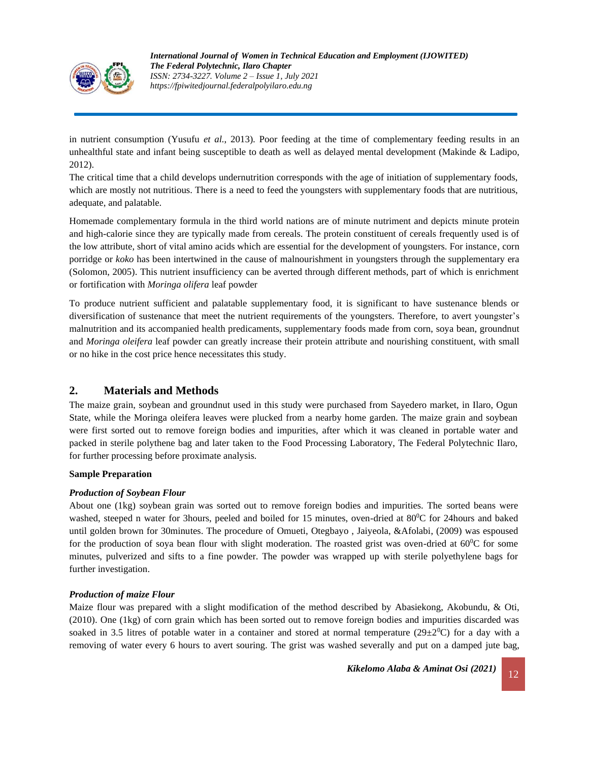

in nutrient consumption (Yusufu *et al.*, 2013). Poor feeding at the time of complementary feeding results in an unhealthful state and infant being susceptible to death as well as delayed mental development (Makinde & Ladipo, 2012).

The critical time that a child develops undernutrition corresponds with the age of initiation of supplementary foods, which are mostly not nutritious. There is a need to feed the youngsters with supplementary foods that are nutritious, adequate, and palatable.

Homemade complementary formula in the third world nations are of minute nutriment and depicts minute protein and high-calorie since they are typically made from cereals. The protein constituent of cereals frequently used is of the low attribute, short of vital amino acids which are essential for the development of youngsters. For instance, corn porridge or *koko* has been intertwined in the cause of malnourishment in youngsters through the supplementary era (Solomon, 2005). This nutrient insufficiency can be averted through different methods, part of which is enrichment or fortification with *Moringa olifera* leaf powder

To produce nutrient sufficient and palatable supplementary food, it is significant to have sustenance blends or diversification of sustenance that meet the nutrient requirements of the youngsters. Therefore, to avert youngster's malnutrition and its accompanied health predicaments, supplementary foods made from corn, soya bean, groundnut and *Moringa oleifera* leaf powder can greatly increase their protein attribute and nourishing constituent, with small or no hike in the cost price hence necessitates this study.

# **2. Materials and Methods**

The maize grain, soybean and groundnut used in this study were purchased from Sayedero market, in Ilaro, Ogun State, while the Moringa oleifera leaves were plucked from a nearby home garden. The maize grain and soybean were first sorted out to remove foreign bodies and impurities, after which it was cleaned in portable water and packed in sterile polythene bag and later taken to the Food Processing Laboratory, The Federal Polytechnic Ilaro, for further processing before proximate analysis*.*

#### **Sample Preparation**

#### *Production of Soybean Flour*

About one (1kg) soybean grain was sorted out to remove foreign bodies and impurities. The sorted beans were washed, steeped n water for 3hours, peeled and boiled for 15 minutes, oven-dried at 80<sup>0</sup>C for 24hours and baked until golden brown for 30minutes. The procedure of Omueti, Otegbayo , Jaiyeola, &Afolabi, (2009) was espoused for the production of soya bean flour with slight moderation. The roasted grist was oven-dried at  $60^{\circ}$ C for some minutes, pulverized and sifts to a fine powder. The powder was wrapped up with sterile polyethylene bags for further investigation.

#### *Production of maize Flour*

Maize flour was prepared with a slight modification of the method described by Abasiekong, Akobundu, & Oti, (2010). One (1kg) of corn grain which has been sorted out to remove foreign bodies and impurities discarded was soaked in 3.5 litres of potable water in a container and stored at normal temperature ( $29\pm20^{\circ}$ C) for a day with a removing of water every 6 hours to avert souring. The grist was washed severally and put on a damped jute bag,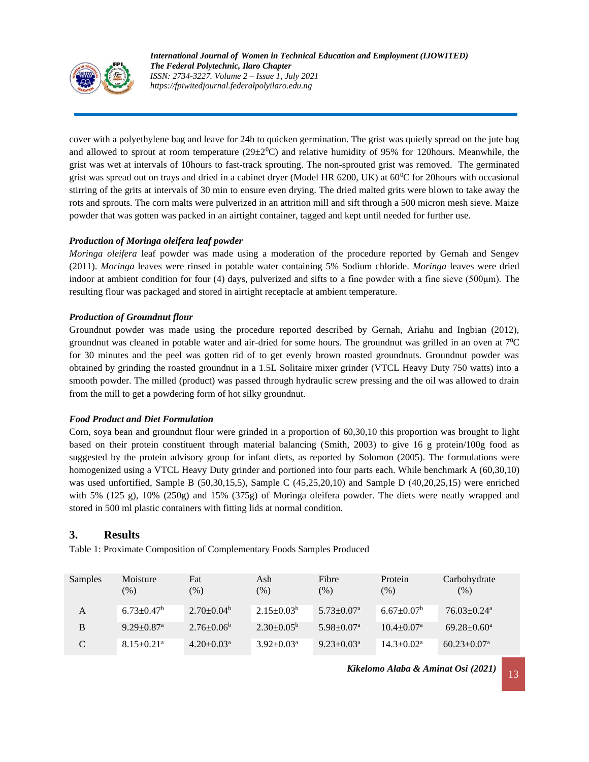

cover with a polyethylene bag and leave for 24h to quicken germination. The grist was quietly spread on the jute bag and allowed to sprout at room temperature  $(29\pm20^{\circ}\text{C})$  and relative humidity of 95% for 120hours. Meanwhile, the grist was wet at intervals of 10hours to fast-track sprouting. The non-sprouted grist was removed. The germinated grist was spread out on trays and dried in a cabinet dryer (Model HR 6200, UK) at 60<sup>0</sup>C for 20hours with occasional stirring of the grits at intervals of 30 min to ensure even drying. The dried malted grits were blown to take away the rots and sprouts. The corn malts were pulverized in an attrition mill and sift through a 500 micron mesh sieve. Maize powder that was gotten was packed in an airtight container, tagged and kept until needed for further use.

### *Production of Moringa oleifera leaf powder*

*Moringa oleifera* leaf powder was made using a moderation of the procedure reported by Gernah and Sengev (2011). *Moringa* leaves were rinsed in potable water containing 5% Sodium chloride. *Moringa* leaves were dried indoor at ambient condition for four (4) days, pulverized and sifts to a fine powder with a fine sieve (500μm). The resulting flour was packaged and stored in airtight receptacle at ambient temperature.

### *Production of Groundnut flour*

Groundnut powder was made using the procedure reported described by Gernah, Ariahu and Ingbian (2012), groundnut was cleaned in potable water and air-dried for some hours. The groundnut was grilled in an oven at 7<sup>0</sup>C for 30 minutes and the peel was gotten rid of to get evenly brown roasted groundnuts. Groundnut powder was obtained by grinding the roasted groundnut in a 1.5L Solitaire mixer grinder (VTCL Heavy Duty 750 watts) into a smooth powder. The milled (product) was passed through hydraulic screw pressing and the oil was allowed to drain from the mill to get a powdering form of hot silky groundnut.

#### *Food Product and Diet Formulation*

Corn, soya bean and groundnut flour were grinded in a proportion of 60,30,10 this proportion was brought to light based on their protein constituent through material balancing (Smith, 2003) to give 16 g protein/100g food as suggested by the protein advisory group for infant diets, as reported by Solomon (2005). The formulations were homogenized using a VTCL Heavy Duty grinder and portioned into four parts each. While benchmark A (60,30,10) was used unfortified, Sample B (50,30,15,5), Sample C (45,25,20,10) and Sample D (40,20,25,15) were enriched with 5% (125 g), 10% (250g) and 15% (375g) of Moringa oleifera powder. The diets were neatly wrapped and stored in 500 ml plastic containers with fitting lids at normal condition.

## **3. Results**

Table 1: Proximate Composition of Complementary Foods Samples Produced

| Samples       | Moisture<br>$(\%)$           | Fat<br>$(\% )$             | Ash<br>(% )                | Fibre<br>$(\%)$              | Protein<br>$(\% )$         | Carbohydrate<br>(% )          |
|---------------|------------------------------|----------------------------|----------------------------|------------------------------|----------------------------|-------------------------------|
| A             | $6.73 \pm 0.47^b$            | $2.70+0.04b$               | $2.15 \pm 0.03^b$          | $5.73 \pm 0.07$ <sup>a</sup> | $6.67 \pm 0.07^b$          | $76.03 \pm 0.24$ <sup>a</sup> |
| B             | $9.29 \pm 0.87$ <sup>a</sup> | $2.76 \pm 0.06^b$          | $2.30+0.05b$               | $5.98 \pm 0.07$ <sup>a</sup> | $10.4 + 0.07$ <sup>a</sup> | $69.28 \pm 0.60^a$            |
| $\mathcal{C}$ | $8.15 \pm 0.21$ <sup>a</sup> | $4.20 \pm 0.03^{\text{a}}$ | $3.92 \pm 0.03^{\text{a}}$ | $9.23 \pm 0.03$ <sup>a</sup> | $14.3 \pm 0.02^{\text{a}}$ | $60.23 \pm 0.07$ <sup>a</sup> |

*Kikelomo Alaba & Aminat Osi* (2021) 13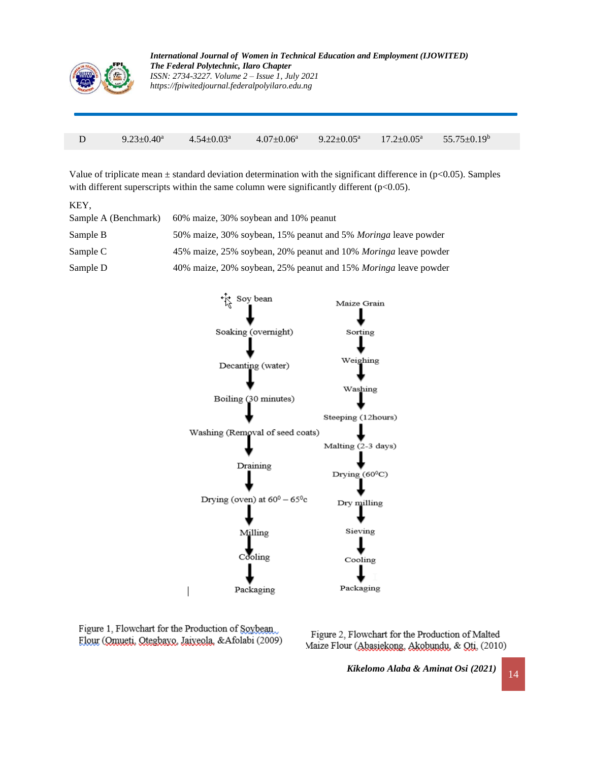

|  | $9.23 \pm 0.40^a$ $4.54 \pm 0.03^a$ |  | <sup>9</sup> 4.07±0.06 <sup>a</sup> 9.22±0.05 <sup>a</sup> 17.2±0.05 <sup>a</sup> 55.75±0.19 <sup>b</sup> |
|--|-------------------------------------|--|-----------------------------------------------------------------------------------------------------------|

Value of triplicate mean  $\pm$  standard deviation determination with the significant difference in (p<0.05). Samples with different superscripts within the same column were significantly different (p<0.05).

| KEY.                 |                                                                        |
|----------------------|------------------------------------------------------------------------|
| Sample A (Benchmark) | 60% maize, 30% soybean and 10% peanut                                  |
| Sample B             | 50% maize, 30% soybean, 15% peanut and 5% <i>Moringa</i> leave powder  |
| Sample C             | 45% maize, 25% soybean, 20% peanut and 10% Moringa leave powder        |
| Sample D             | 40% maize, 20% soybean, 25% peanut and 15% <i>Moringa</i> leave powder |



Figure 1, Flowchart for the Production of Soybean Flour (Omueti, Otegbayo, Jaiyeola, & Afolabi (2009)

Figure 2, Flowchart for the Production of Malted Maize Flour (Abasiekong, Akobundu, & Qti, (2010)

*Kikelomo Alaba & Aminat Osi* (2021) 14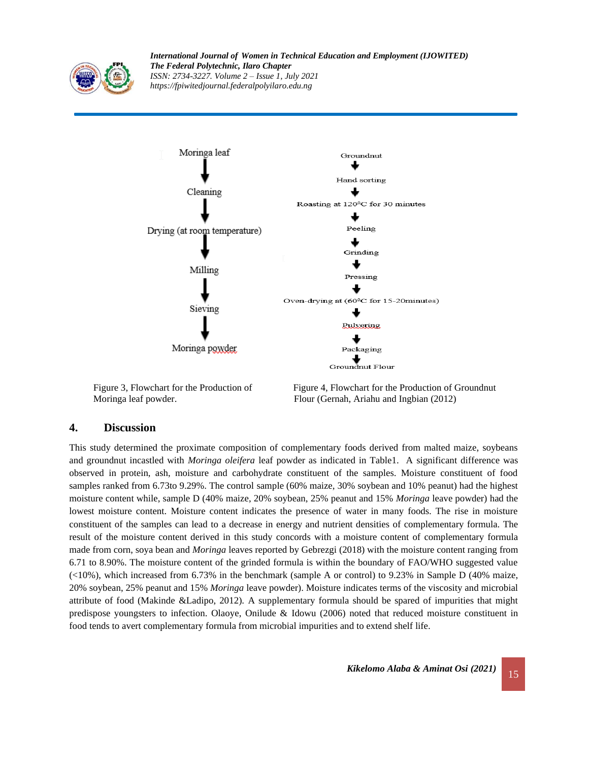

*International Journal of Women in Technical Education and Employment (IJOWITED) The Federal Polytechnic, Ilaro Chapter ISSN: 2734-3227. Volume 2 – Issue 1, July 2021 https://fpiwitedjournal.federalpolyilaro.edu.ng*



Figure 3, Flowchart for the Production of Figure 4, Flowchart for the Production of Groundnut Moringa leaf powder. Flour (Gernah, Ariahu and Ingbian (2012)

#### **4. Discussion**

This study determined the proximate composition of complementary foods derived from malted maize, soybeans and groundnut incastled with *Moringa oleifera* leaf powder as indicated in Table1. A significant difference was observed in protein, ash, moisture and carbohydrate constituent of the samples. Moisture constituent of food samples ranked from 6.73to 9.29%. The control sample (60% maize, 30% soybean and 10% peanut) had the highest moisture content while, sample D (40% maize, 20% soybean, 25% peanut and 15% *Moringa* leave powder) had the lowest moisture content. Moisture content indicates the presence of water in many foods. The rise in moisture constituent of the samples can lead to a decrease in energy and nutrient densities of complementary formula. The result of the moisture content derived in this study concords with a moisture content of complementary formula made from corn, soya bean and *Moringa* leaves reported by Gebrezgi (2018) with the moisture content ranging from 6.71 to 8.90%. The moisture content of the grinded formula is within the boundary of FAO/WHO suggested value  $\left($  <10%), which increased from 6.73% in the benchmark (sample A or control) to 9.23% in Sample D (40% maize, 20% soybean, 25% peanut and 15% *Moringa* leave powder). Moisture indicates terms of the viscosity and microbial attribute of food (Makinde &Ladipo, 2012). A supplementary formula should be spared of impurities that might predispose youngsters to infection. Olaoye, Onilude & Idowu (2006) noted that reduced moisture constituent in food tends to avert complementary formula from microbial impurities and to extend shelf life.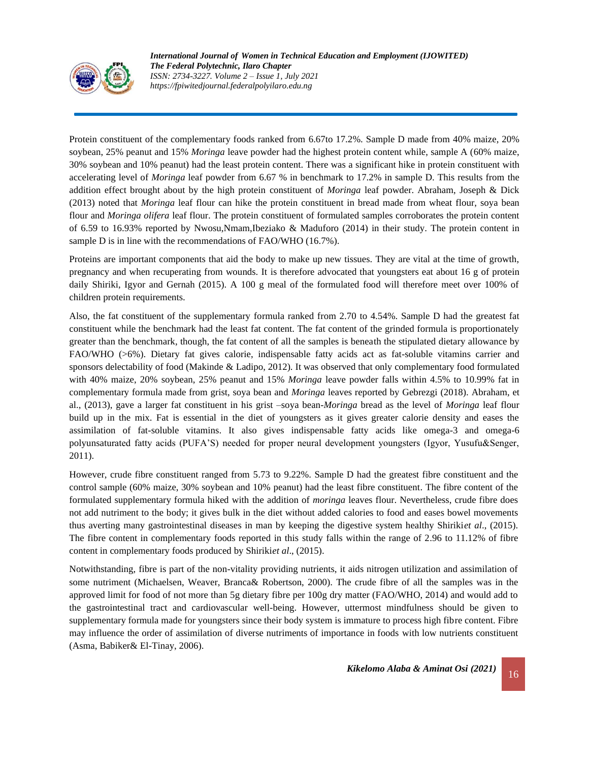

Protein constituent of the complementary foods ranked from 6.67to 17.2%. Sample D made from 40% maize, 20% soybean, 25% peanut and 15% *Moringa* leave powder had the highest protein content while, sample A (60% maize, 30% soybean and 10% peanut) had the least protein content. There was a significant hike in protein constituent with accelerating level of *Moringa* leaf powder from 6.67 % in benchmark to 17.2% in sample D. This results from the addition effect brought about by the high protein constituent of *Moringa* leaf powder. Abraham, Joseph & Dick (2013) noted that *Moringa* leaf flour can hike the protein constituent in bread made from wheat flour, soya bean flour and *Moringa olifera* leaf flour. The protein constituent of formulated samples corroborates the protein content of 6.59 to 16.93% reported by Nwosu,Nmam,Ibeziako & Maduforo (2014) in their study. The protein content in sample D is in line with the recommendations of FAO/WHO (16.7%).

Proteins are important components that aid the body to make up new tissues. They are vital at the time of growth, pregnancy and when recuperating from wounds. It is therefore advocated that youngsters eat about 16 g of protein daily Shiriki, Igyor and Gernah (2015). A 100 g meal of the formulated food will therefore meet over 100% of children protein requirements.

Also, the fat constituent of the supplementary formula ranked from 2.70 to 4.54%. Sample D had the greatest fat constituent while the benchmark had the least fat content. The fat content of the grinded formula is proportionately greater than the benchmark, though, the fat content of all the samples is beneath the stipulated dietary allowance by FAO/WHO (>6%). Dietary fat gives calorie, indispensable fatty acids act as fat-soluble vitamins carrier and sponsors delectability of food (Makinde & Ladipo, 2012). It was observed that only complementary food formulated with 40% maize, 20% soybean, 25% peanut and 15% *Moringa* leave powder falls within 4.5% to 10.99% fat in complementary formula made from grist, soya bean and *Moringa* leaves reported by Gebrezgi (2018). Abraham, et al., (2013), gave a larger fat constituent in his grist –soya bean-*Moringa* bread as the level of *Moringa* leaf flour build up in the mix. Fat is essential in the diet of youngsters as it gives greater calorie density and eases the assimilation of fat-soluble vitamins. It also gives indispensable fatty acids like omega-3 and omega-6 polyunsaturated fatty acids (PUFA'S) needed for proper neural development youngsters (Igyor, Yusufu&Senger, 2011).

However, crude fibre constituent ranged from 5.73 to 9.22%. Sample D had the greatest fibre constituent and the control sample (60% maize, 30% soybean and 10% peanut) had the least fibre constituent. The fibre content of the formulated supplementary formula hiked with the addition of *moringa* leaves flour. Nevertheless, crude fibre does not add nutriment to the body; it gives bulk in the diet without added calories to food and eases bowel movements thus averting many gastrointestinal diseases in man by keeping the digestive system healthy Shiriki*et al*., (2015). The fibre content in complementary foods reported in this study falls within the range of 2.96 to 11.12% of fibre content in complementary foods produced by Shiriki*et al*., (2015).

Notwithstanding, fibre is part of the non-vitality providing nutrients, it aids nitrogen utilization and assimilation of some nutriment (Michaelsen, Weaver, Branca& Robertson, 2000). The crude fibre of all the samples was in the approved limit for food of not more than 5g dietary fibre per 100g dry matter (FAO/WHO, 2014) and would add to the gastrointestinal tract and cardiovascular well-being. However, uttermost mindfulness should be given to supplementary formula made for youngsters since their body system is immature to process high fibre content. Fibre may influence the order of assimilation of diverse nutriments of importance in foods with low nutrients constituent (Asma, Babiker& El-Tinay, 2006).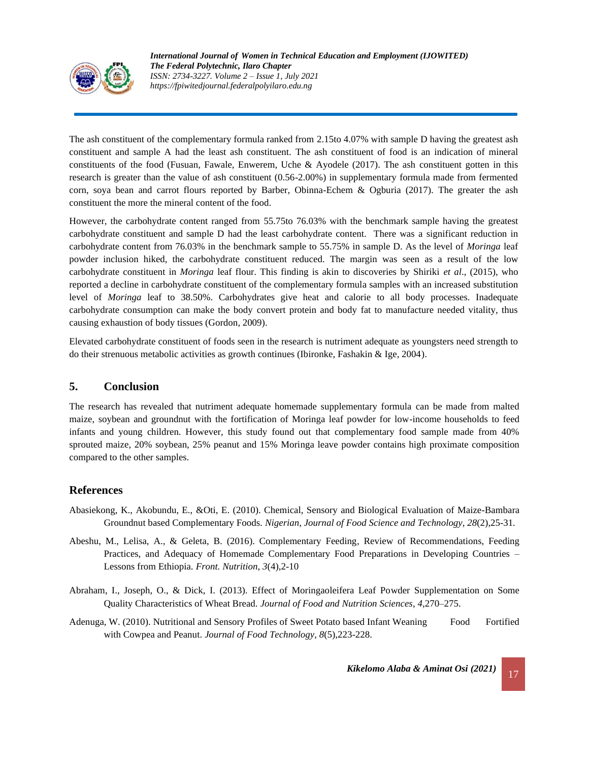

The ash constituent of the complementary formula ranked from 2.15to 4.07% with sample D having the greatest ash constituent and sample A had the least ash constituent. The ash constituent of food is an indication of mineral constituents of the food (Fusuan, Fawale, Enwerem, Uche & Ayodele (2017). The ash constituent gotten in this research is greater than the value of ash constituent (0.56-2.00%) in supplementary formula made from fermented corn, soya bean and carrot flours reported by Barber, Obinna-Echem & Ogburia (2017). The greater the ash constituent the more the mineral content of the food.

However, the carbohydrate content ranged from 55.75to 76.03% with the benchmark sample having the greatest carbohydrate constituent and sample D had the least carbohydrate content. There was a significant reduction in carbohydrate content from 76.03% in the benchmark sample to 55.75% in sample D. As the level of *Moringa* leaf powder inclusion hiked, the carbohydrate constituent reduced. The margin was seen as a result of the low carbohydrate constituent in *Moringa* leaf flour. This finding is akin to discoveries by Shiriki *et al*., (2015), who reported a decline in carbohydrate constituent of the complementary formula samples with an increased substitution level of *Moringa* leaf to 38.50%. Carbohydrates give heat and calorie to all body processes. Inadequate carbohydrate consumption can make the body convert protein and body fat to manufacture needed vitality, thus causing exhaustion of body tissues (Gordon, 2009).

Elevated carbohydrate constituent of foods seen in the research is nutriment adequate as youngsters need strength to do their strenuous metabolic activities as growth continues (Ibironke, Fashakin & Ige, 2004).

# **5. Conclusion**

The research has revealed that nutriment adequate homemade supplementary formula can be made from malted maize, soybean and groundnut with the fortification of Moringa leaf powder for low-income households to feed infants and young children. However, this study found out that complementary food sample made from 40% sprouted maize, 20% soybean, 25% peanut and 15% Moringa leave powder contains high proximate composition compared to the other samples.

# **References**

- Abasiekong, K., Akobundu, E., &Oti, E. (2010). Chemical, Sensory and Biological Evaluation of Maize-Bambara Groundnut based Complementary Foods. *Nigerian, Journal of Food Science and Technology*, *28*(2),25-31*.*
- Abeshu, M., Lelisa, A., & Geleta, B. (2016). Complementary Feeding, Review of Recommendations, Feeding Practices, and Adequacy of Homemade Complementary Food Preparations in Developing Countries – Lessons from Ethiopia. *Front. Nutrition*, *3*(4),2-10
- Abraham, I., Joseph, O., & Dick, I. (2013). Effect of Moringaoleifera Leaf Powder Supplementation on Some Quality Characteristics of Wheat Bread*. Journal of Food and Nutrition Sciences*, *4*,270–275.
- Adenuga, W. (2010). Nutritional and Sensory Profiles of Sweet Potato based Infant Weaning Food Fortified with Cowpea and Peanut. *Journal of Food Technology*, *8*(5),223-228.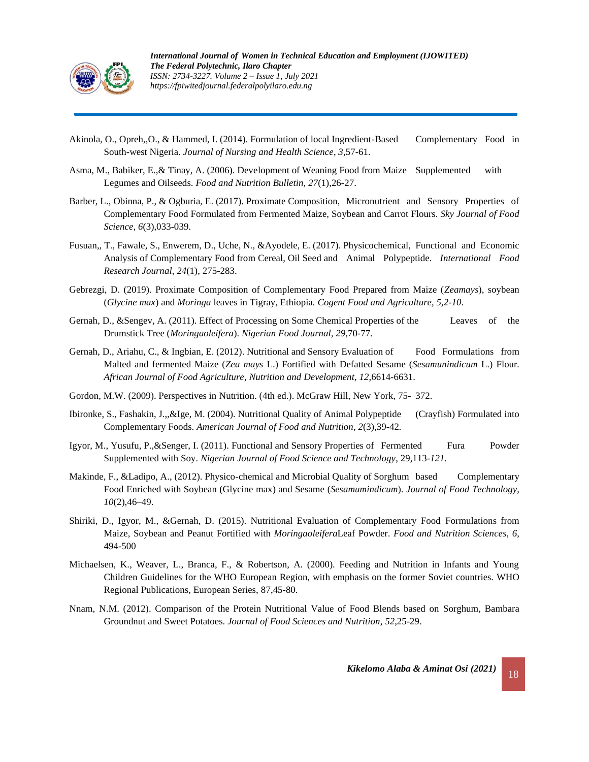

- Akinola, O., Opreh,,O., & Hammed, I. (2014). Formulation of local Ingredient-Based Complementary Food in South-west Nigeria. *Journal of Nursing and Health Science*, *3*,57-61.
- Asma, M., Babiker, E.,& Tinay, A. (2006). Development of Weaning Food from Maize Supplemented with Legumes and Oilseeds. *Food and Nutrition Bulletin, 27*(1),26-27.
- Barber, L., Obinna, P., & Ogburia, E. (2017). Proximate Composition, Micronutrient and Sensory Properties of Complementary Food Formulated from Fermented Maize, Soybean and Carrot Flours. *Sky Journal of Food Science*, *6*(3),033-039.
- Fusuan,, T., Fawale, S., Enwerem, D., Uche, N., &Ayodele, E. (2017). Physicochemical, Functional and Economic Analysis of Complementary Food from Cereal, Oil Seed and Animal Polypeptide. *International Food Research Journal*, *24*(1), 275-283.
- Gebrezgi, D. (2019). Proximate Composition of Complementary Food Prepared from Maize (*Zeamays*), soybean (*Glycine max*) and *Moringa* leaves in Tigray, Ethiopia*. Cogent Food and Agriculture, 5,2-10*.
- Gernah, D., &Sengev, A. (2011). Effect of Processing on Some Chemical Properties of the Leaves of the Drumstick Tree (*Moringaoleifera*). *Nigerian Food Journal*, *29*,70-77.
- Gernah, D., Ariahu, C., & Ingbian, E. (2012). Nutritional and Sensory Evaluation of Food Formulations from Malted and fermented Maize (*Zea mays* L.) Fortified with Defatted Sesame (*Sesamunindicum* L.) Flour. *African Journal of Food Agriculture*, *Nutrition and Development*, *12*,6614-6631.
- Gordon, M.W. (2009). Perspectives in Nutrition. (4th ed.). McGraw Hill, New York, 75- 372.
- Ibironke, S., Fashakin, J.,,&Ige, M. (2004). Nutritional Quality of Animal Polypeptide (Crayfish) Formulated into Complementary Foods. *American Journal of Food and Nutrition*, *2*(3),39-42*.*
- Igyor, M., Yusufu, P.,&Senger, I. (2011). Functional and Sensory Properties of Fermented Fura Powder Supplemented with Soy. *Nigerian Journal of Food Science and Technology*, 29,113*-121.*
- Makinde, F., &Ladipo, A., (2012). Physico-chemical and Microbial Quality of Sorghum based Complementary Food Enriched with Soybean (Glycine max) and Sesame (*Sesamumindicum*). *Journal of Food Technology*, *10*(2),46–49.
- Shiriki, D., Igyor, M., &Gernah, D. (2015). Nutritional Evaluation of Complementary Food Formulations from Maize, Soybean and Peanut Fortified with *Moringaoleifera*Leaf Powder. *Food and Nutrition Sciences*, *6*, 494-500
- Michaelsen, K., Weaver, L., Branca, F., & Robertson, A. (2000). Feeding and Nutrition in Infants and Young Children Guidelines for the WHO European Region, with emphasis on the former Soviet countries. WHO Regional Publications, European Series, 87,45-80.
- Nnam, N.M. (2012). Comparison of the Protein Nutritional Value of Food Blends based on Sorghum, Bambara Groundnut and Sweet Potatoes. *Journal of Food Sciences and Nutrition*, *52*,25-29.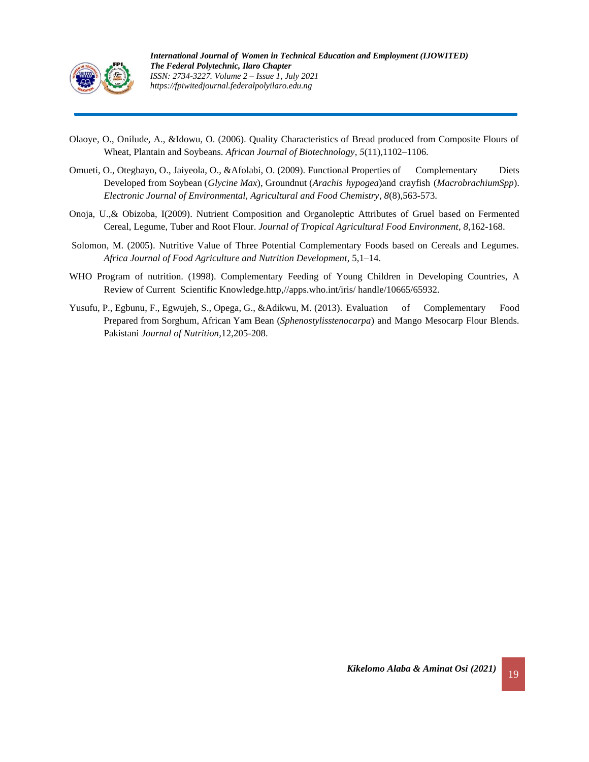

- Olaoye, O., Onilude, A., &Idowu, O. (2006). Quality Characteristics of Bread produced from Composite Flours of Wheat, Plantain and Soybeans. *African Journal of Biotechnology*, *5*(11),1102–1106.
- Omueti, O., Otegbayo, O., Jaiyeola, O., &Afolabi, O. (2009). Functional Properties of Complementary Diets Developed from Soybean (*Glycine Max*), Groundnut (*Arachis hypogea*)and crayfish (*MacrobrachiumSpp*). *[Electronic Journal of Environmental, Agricultural and Food Chemistry](https://www.researchgate.net/journal/Electronic-Journal-of-Environmental-Agricultural-and-Food-Chemistry-1579-4377)*, *8*(8),563-573.
- Onoja, U.,& Obizoba, I(2009). Nutrient Composition and Organoleptic Attributes of Gruel based on Fermented Cereal, Legume, Tuber and Root Flour. *Journal of Tropical Agricultural Food Environment*, *8*,162-168.
- Solomon, M. (2005). Nutritive Value of Three Potential Complementary Foods based on Cereals and Legumes. *Africa Journal of Food Agriculture and Nutrition Development*, 5,1–14.
- WHO Program of nutrition. (1998). Complementary Feeding of Young Children in Developing Countries, A Review of Current Scientific Knowledge.http,//apps.who.int/iris/ handle/10665/65932.
- Yusufu, P., Egbunu, F., Egwujeh, S., Opega, G., &Adikwu, M. (2013). Evaluation of Complementary Food Prepared from Sorghum, African Yam Bean (*Sphenostylisstenocarpa*) and Mango Mesocarp Flour Blends. Pakistani *Journal of Nutrition,*12,205-208.